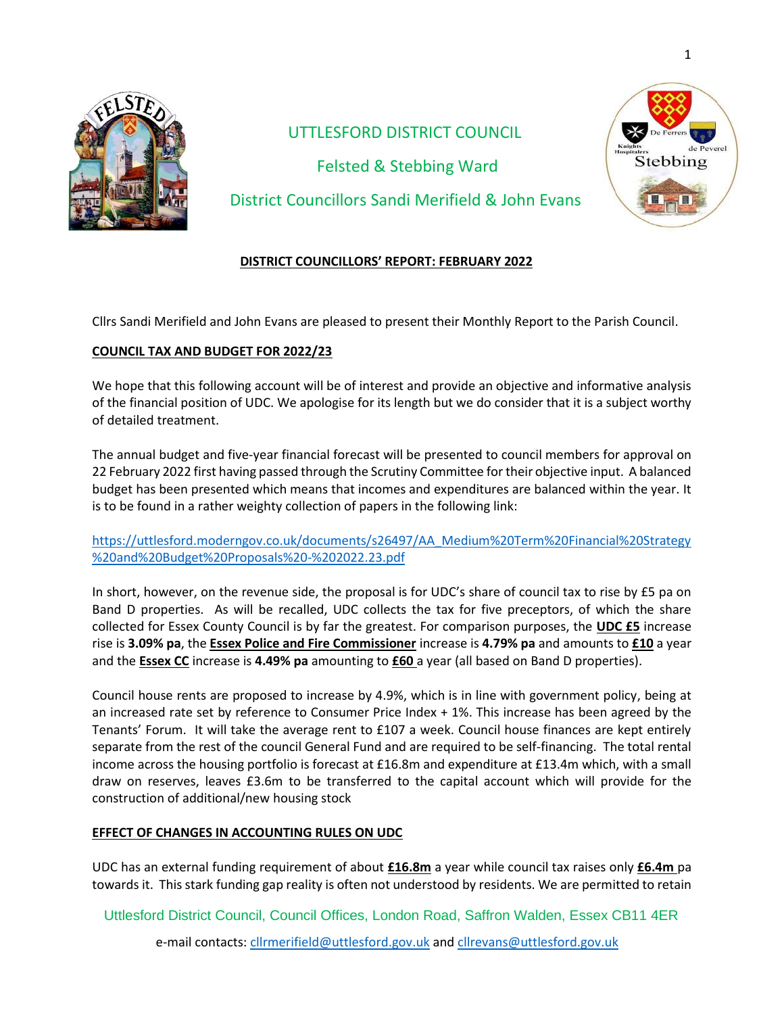

# UTTLESFORD DISTRICT COUNCIL Felsted & Stebbing Ward District Councillors Sandi Merifield & John Evans



## **DISTRICT COUNCILLORS' REPORT: FEBRUARY 2022**

Cllrs Sandi Merifield and John Evans are pleased to present their Monthly Report to the Parish Council.

## **COUNCIL TAX AND BUDGET FOR 2022/23**

We hope that this following account will be of interest and provide an objective and informative analysis of the financial position of UDC. We apologise for its length but we do consider that it is a subject worthy of detailed treatment.

The annual budget and five-year financial forecast will be presented to council members for approval on 22 February 2022 first having passed through the Scrutiny Committee for their objective input. A balanced budget has been presented which means that incomes and expenditures are balanced within the year. It is to be found in a rather weighty collection of papers in the following link:

[https://uttlesford.moderngov.co.uk/documents/s26497/AA\\_Medium%20Term%20Financial%20Strategy](https://uttlesford.moderngov.co.uk/documents/s26497/AA_Medium%20Term%20Financial%20Strategy%20and%20Budget%20Proposals%20-%202022.23.pdf) [%20and%20Budget%20Proposals%20-%202022.23.pdf](https://uttlesford.moderngov.co.uk/documents/s26497/AA_Medium%20Term%20Financial%20Strategy%20and%20Budget%20Proposals%20-%202022.23.pdf)

In short, however, on the revenue side, the proposal is for UDC's share of council tax to rise by £5 pa on Band D properties. As will be recalled, UDC collects the tax for five preceptors, of which the share collected for Essex County Council is by far the greatest. For comparison purposes, the **UDC £5** increase rise is **3.09% pa**, the **Essex Police and Fire Commissioner** increase is **4.79% pa** and amounts to **£10** a year and the **Essex CC** increase is **4.49% pa** amounting to **£60** a year (all based on Band D properties).

Council house rents are proposed to increase by 4.9%, which is in line with government policy, being at an increased rate set by reference to Consumer Price Index + 1%. This increase has been agreed by the Tenants' Forum. It will take the average rent to £107 a week. Council house finances are kept entirely separate from the rest of the council General Fund and are required to be self-financing. The total rental income across the housing portfolio is forecast at £16.8m and expenditure at £13.4m which, with a small draw on reserves, leaves £3.6m to be transferred to the capital account which will provide for the construction of additional/new housing stock

## **EFFECT OF CHANGES IN ACCOUNTING RULES ON UDC**

UDC has an external funding requirement of about **£16.8m** a year while council tax raises only **£6.4m** pa towards it. This stark funding gap reality is often not understood by residents. We are permitted to retain

Uttlesford District Council, Council Offices, London Road, Saffron Walden, Essex CB11 4ER

e-mail contacts[: cllrmerifield@uttlesford.gov.uk](mailto:cllrmerifield@uttlesford.gov.uk) an[d cllrevans@uttlesford.gov.uk](mailto:cllrevans@uttlesford.gov.uk)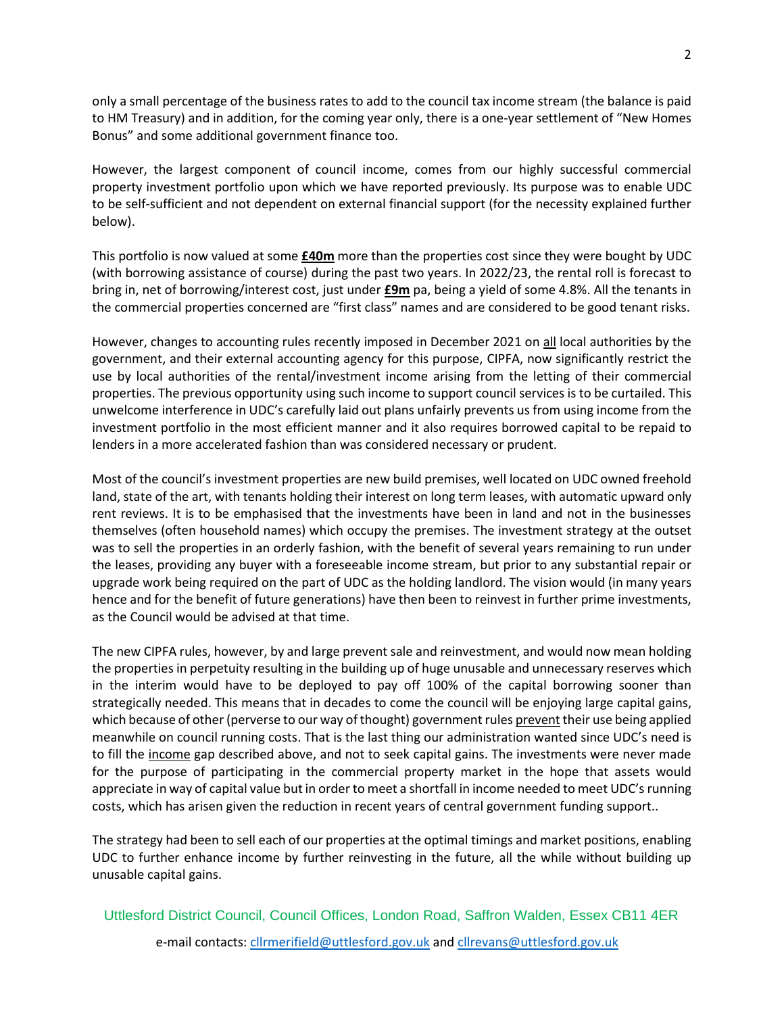only a small percentage of the business rates to add to the council tax income stream (the balance is paid to HM Treasury) and in addition, for the coming year only, there is a one-year settlement of "New Homes Bonus" and some additional government finance too.

However, the largest component of council income, comes from our highly successful commercial property investment portfolio upon which we have reported previously. Its purpose was to enable UDC to be self-sufficient and not dependent on external financial support (for the necessity explained further below).

This portfolio is now valued at some **£40m** more than the properties cost since they were bought by UDC (with borrowing assistance of course) during the past two years. In 2022/23, the rental roll is forecast to bring in, net of borrowing/interest cost, just under **£9m** pa, being a yield of some 4.8%. All the tenants in the commercial properties concerned are "first class" names and are considered to be good tenant risks.

However, changes to accounting rules recently imposed in December 2021 on all local authorities by the government, and their external accounting agency for this purpose, CIPFA, now significantly restrict the use by local authorities of the rental/investment income arising from the letting of their commercial properties. The previous opportunity using such income to support council services is to be curtailed. This unwelcome interference in UDC's carefully laid out plans unfairly prevents us from using income from the investment portfolio in the most efficient manner and it also requires borrowed capital to be repaid to lenders in a more accelerated fashion than was considered necessary or prudent.

Most of the council's investment properties are new build premises, well located on UDC owned freehold land, state of the art, with tenants holding their interest on long term leases, with automatic upward only rent reviews. It is to be emphasised that the investments have been in land and not in the businesses themselves (often household names) which occupy the premises. The investment strategy at the outset was to sell the properties in an orderly fashion, with the benefit of several years remaining to run under the leases, providing any buyer with a foreseeable income stream, but prior to any substantial repair or upgrade work being required on the part of UDC as the holding landlord. The vision would (in many years hence and for the benefit of future generations) have then been to reinvest in further prime investments, as the Council would be advised at that time.

The new CIPFA rules, however, by and large prevent sale and reinvestment, and would now mean holding the properties in perpetuity resulting in the building up of huge unusable and unnecessary reserves which in the interim would have to be deployed to pay off 100% of the capital borrowing sooner than strategically needed. This means that in decades to come the council will be enjoying large capital gains, which because of other (perverse to our way of thought) government rules prevent their use being applied meanwhile on council running costs. That is the last thing our administration wanted since UDC's need is to fill the income gap described above, and not to seek capital gains. The investments were never made for the purpose of participating in the commercial property market in the hope that assets would appreciate in way of capital value but in order to meet a shortfall in income needed to meet UDC's running costs, which has arisen given the reduction in recent years of central government funding support..

The strategy had been to sell each of our properties at the optimal timings and market positions, enabling UDC to further enhance income by further reinvesting in the future, all the while without building up unusable capital gains.

 Uttlesford District Council, Council Offices, London Road, Saffron Walden, Essex CB11 4ER e-mail contacts[: cllrmerifield@uttlesford.gov.uk](mailto:cllrmerifield@uttlesford.gov.uk) an[d cllrevans@uttlesford.gov.uk](mailto:cllrevans@uttlesford.gov.uk)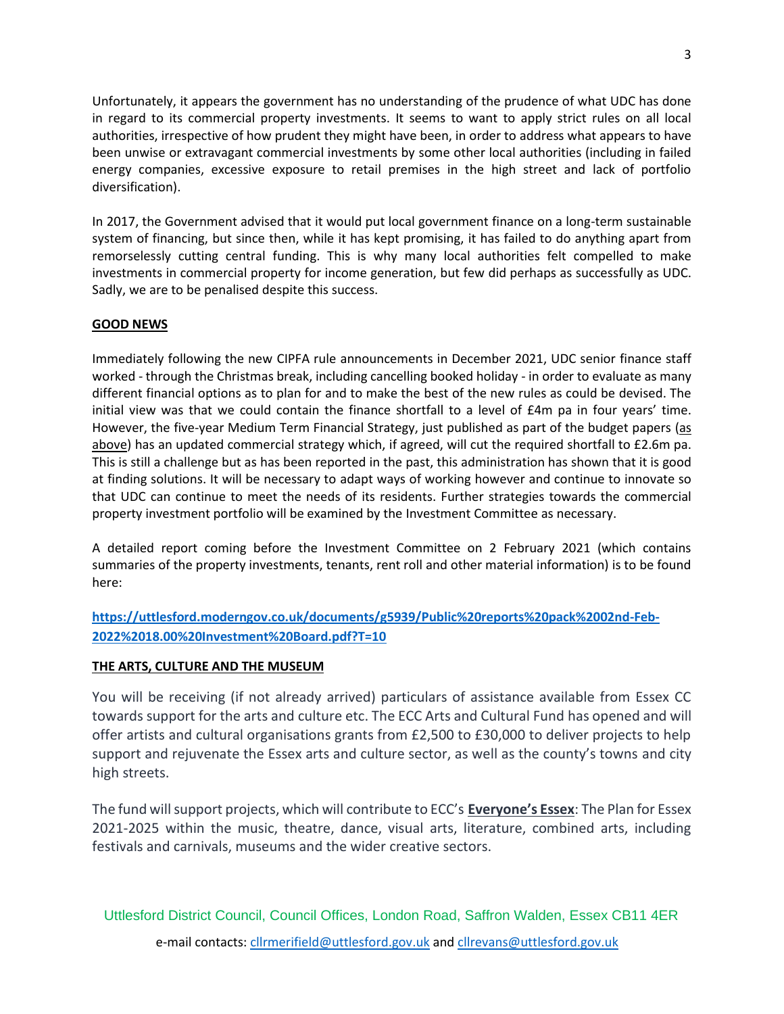Unfortunately, it appears the government has no understanding of the prudence of what UDC has done in regard to its commercial property investments. It seems to want to apply strict rules on all local authorities, irrespective of how prudent they might have been, in order to address what appears to have been unwise or extravagant commercial investments by some other local authorities (including in failed energy companies, excessive exposure to retail premises in the high street and lack of portfolio diversification).

In 2017, the Government advised that it would put local government finance on a long-term sustainable system of financing, but since then, while it has kept promising, it has failed to do anything apart from remorselessly cutting central funding. This is why many local authorities felt compelled to make investments in commercial property for income generation, but few did perhaps as successfully as UDC. Sadly, we are to be penalised despite this success.

## **GOOD NEWS**

Immediately following the new CIPFA rule announcements in December 2021, UDC senior finance staff worked - through the Christmas break, including cancelling booked holiday - in order to evaluate as many different financial options as to plan for and to make the best of the new rules as could be devised. The initial view was that we could contain the finance shortfall to a level of £4m pa in four years' time. However, the five-year Medium Term Financial Strategy, just published as part of the budget papers (as above) has an updated commercial strategy which, if agreed, will cut the required shortfall to £2.6m pa. This is still a challenge but as has been reported in the past, this administration has shown that it is good at finding solutions. It will be necessary to adapt ways of working however and continue to innovate so that UDC can continue to meet the needs of its residents. Further strategies towards the commercial property investment portfolio will be examined by the Investment Committee as necessary.

A detailed report coming before the Investment Committee on 2 February 2021 (which contains summaries of the property investments, tenants, rent roll and other material information) is to be found here:

**[https://uttlesford.moderngov.co.uk/documents/g5939/Public%20reports%20pack%2002nd-Feb-](https://uttlesford.moderngov.co.uk/documents/g5939/Public%20reports%20pack%2002nd-Feb-2022%2018.00%20Investment%20Board.pdf?T=10)[2022%2018.00%20Investment%20Board.pdf?T=10](https://uttlesford.moderngov.co.uk/documents/g5939/Public%20reports%20pack%2002nd-Feb-2022%2018.00%20Investment%20Board.pdf?T=10)**

## **THE ARTS, CULTURE AND THE MUSEUM**

You will be receiving (if not already arrived) particulars of assistance available from Essex CC towards support for the arts and culture etc. The ECC Arts and Cultural Fund has opened and will offer artists and cultural organisations grants from £2,500 to £30,000 to deliver projects to help support and rejuvenate the Essex arts and culture sector, as well as the county's towns and city high streets.

The fund will support projects, which will contribute to ECC's **[Everyone's Essex](https://www.essex.gov.uk/everyones-essex-our-plan-for-essex-2021-2025)**: The Plan for Essex 2021-2025 within the music, theatre, dance, visual arts, literature, combined arts, including festivals and carnivals, museums and the wider creative sectors.